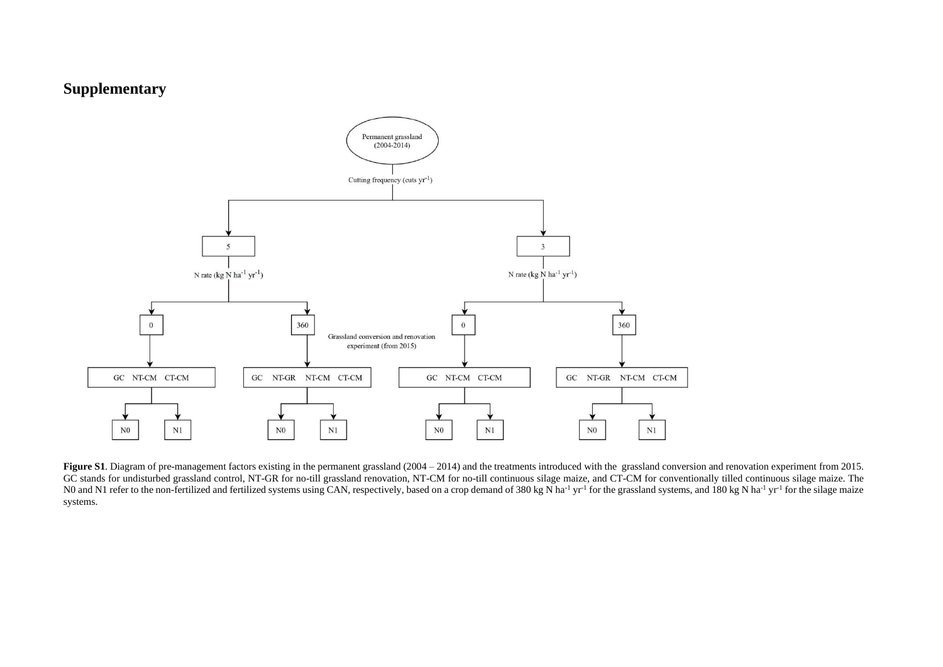## **Supplementary**



Figure S1. Diagram of pre-management factors existing in the permanent grassland (2004 – 2014) and the treatments introduced with the grassland conversion and renovation experiment from 2015. GC stands for undisturbed grassland control, NT-GR for no-till grassland renovation, NT-CM for no-till continuous silage maize, and CT-CM for conventionally tilled continuous silage maize. The N0 and N1 refer to the non-fertilized and fertilized systems using CAN, respectively, based on a crop demand of 380 kg N ha<sup>-1</sup> yr<sup>-1</sup> for the grassland systems, and 180 kg N ha<sup>-1</sup> yr<sup>-1</sup> for the silage maize systems.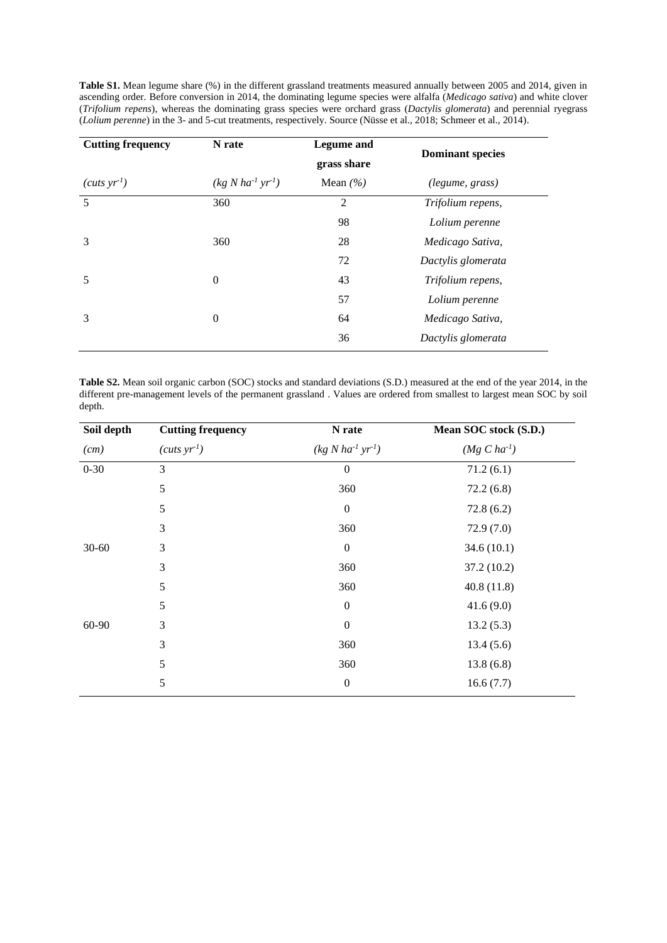| <b>Cutting frequency</b> | N rate                   | <b>Legume</b> and<br>grass share | <b>Dominant species</b><br>(legume, grass) |  |
|--------------------------|--------------------------|----------------------------------|--------------------------------------------|--|
| (cuts yr <sup>1</sup> )  | $(kg N ha^{-1} yr^{-1})$ | Mean $(\% )$                     |                                            |  |
| 5                        | 360                      | $\overline{2}$                   | Trifolium repens,                          |  |
|                          |                          | 98                               | Lolium perenne                             |  |
| 3                        | 360                      | 28                               | Medicago Sativa,                           |  |
|                          |                          | 72                               | Dactylis glomerata                         |  |
| 5                        | $\mathbf{0}$             | 43                               | Trifolium repens,                          |  |
|                          |                          | 57                               | Lolium perenne                             |  |
| 3                        | $\theta$                 | 64                               | Medicago Sativa,                           |  |
|                          |                          | 36                               | Dactylis glomerata                         |  |
|                          |                          |                                  |                                            |  |

**Table S1.** Mean legume share (%) in the different grassland treatments measured annually between 2005 and 2014, given in ascending order. Before conversion in 2014, the dominating legume species were alfalfa (*Medicago sativa*) and white clover (*Trifolium repens*), whereas the dominating grass species were orchard grass (*Dactylis glomerata*) and perennial ryegrass (*Lolium perenne*) in the 3- and 5-cut treatments, respectively. Source (Nüsse et al., 2018; Schmeer et al., 2014).

**Table S2.** Mean soil organic carbon (SOC) stocks and standard deviations (S.D.) measured at the end of the year 2014, in the different pre-management levels of the permanent grassland . Values are ordered from smallest to largest mean SOC by soil depth.

| Soil depth | <b>Cutting frequency</b> | N rate             | Mean SOC stock (S.D.) |
|------------|--------------------------|--------------------|-----------------------|
| (cm)       | $(cuts yr-1)$            | $(kg N ha-1 yr-1)$ | $(Mg C ha^{-1})$      |
| $0 - 30$   | 3                        | $\boldsymbol{0}$   | 71.2(6.1)             |
|            | 5                        | 360                | 72.2(6.8)             |
|            | 5                        | $\boldsymbol{0}$   | 72.8(6.2)             |
|            | 3                        | 360                | 72.9(7.0)             |
| $30 - 60$  | 3                        | $\boldsymbol{0}$   | 34.6(10.1)            |
|            | 3                        | 360                | 37.2(10.2)            |
|            | 5                        | 360                | 40.8(11.8)            |
|            | 5                        | $\boldsymbol{0}$   | 41.6(9.0)             |
| $60 - 90$  | 3                        | $\boldsymbol{0}$   | 13.2(5.3)             |
|            | 3                        | 360                | 13.4(5.6)             |
|            | 5                        | 360                | 13.8(6.8)             |
|            | 5                        | $\boldsymbol{0}$   | 16.6(7.7)             |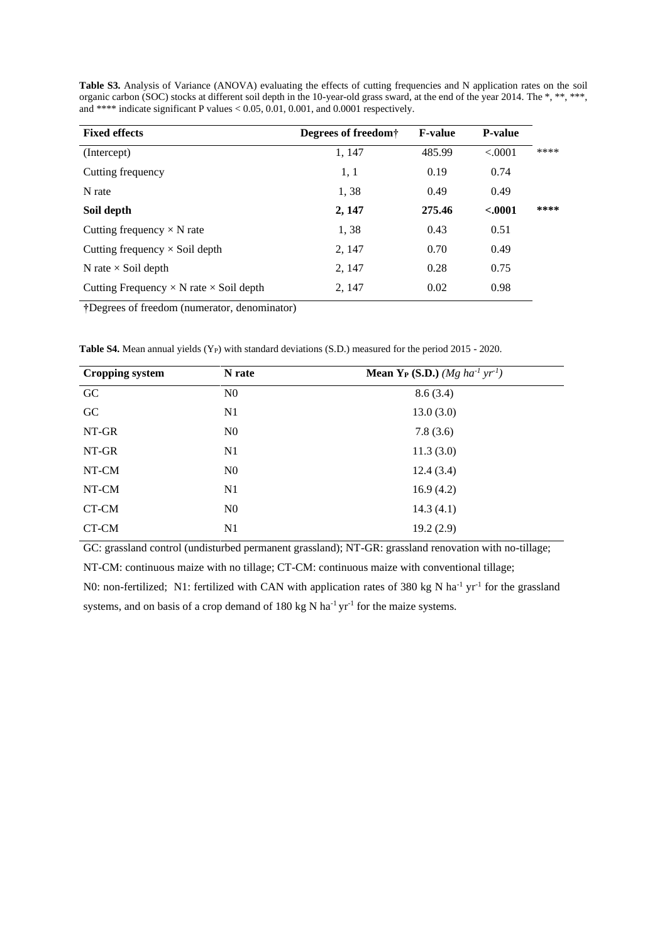| <b>Fixed effects</b>                                  | Degrees of freedom <sup>†</sup> | <b>F-value</b> | <b>P-value</b> |      |
|-------------------------------------------------------|---------------------------------|----------------|----------------|------|
| (Intercept)                                           | 1, 147                          | 485.99         | < .0001        | **** |
| Cutting frequency                                     | 1, 1                            | 0.19           | 0.74           |      |
| N rate                                                | 1,38                            | 0.49           | 0.49           |      |
| Soil depth                                            | 2, 147                          | 275.46         | $-.0001$       | **** |
| Cutting frequency $\times$ N rate                     | 1,38                            | 0.43           | 0.51           |      |
| Cutting frequency $\times$ Soil depth                 | 2, 147                          | 0.70           | 0.49           |      |
| N rate $\times$ Soil depth                            | 2, 147                          | 0.28           | 0.75           |      |
| Cutting Frequency $\times$ N rate $\times$ Soil depth | 2, 147                          | 0.02           | 0.98           |      |

**Table S3.** Analysis of Variance (ANOVA) evaluating the effects of cutting frequencies and N application rates on the soil organic carbon (SOC) stocks at different soil depth in the 10-year-old grass sward, at the end of the year 2014. The \*, \*\*, \*\*\*, and \*\*\*\* indicate significant P values < 0.05, 0.01, 0.001, and 0.0001 respectively.

**†**Degrees of freedom (numerator, denominator)

**Table S4.** Mean annual yields (Y<sub>P</sub>) with standard deviations (S.D.) measured for the period 2015 - 2020.

| <b>Cropping system</b> | N rate         | <b>Mean Y<sub>P</sub></b> ( <b>S.D.</b> ) ( <i>Mg</i> $ha^{-1}$ $yr^{-1}$ ) |
|------------------------|----------------|-----------------------------------------------------------------------------|
| GC                     | N <sub>0</sub> | 8.6(3.4)                                                                    |
| GC                     | N <sub>1</sub> | 13.0(3.0)                                                                   |
| NT-GR                  | N <sub>0</sub> | 7.8(3.6)                                                                    |
| NT-GR                  | N1             | 11.3(3.0)                                                                   |
| NT-CM                  | N <sub>0</sub> | 12.4(3.4)                                                                   |
| NT-CM                  | N1             | 16.9(4.2)                                                                   |
| CT-CM                  | N <sub>0</sub> | 14.3(4.1)                                                                   |
| CT-CM                  | N1             | 19.2(2.9)                                                                   |

GC: grassland control (undisturbed permanent grassland); NT-GR: grassland renovation with no-tillage;

NT-CM: continuous maize with no tillage; CT-CM: continuous maize with conventional tillage;

N0: non-fertilized; N1: fertilized with CAN with application rates of 380 kg N ha<sup>-1</sup> yr<sup>-1</sup> for the grassland systems, and on basis of a crop demand of 180 kg N ha<sup>-1</sup> yr<sup>-1</sup> for the maize systems.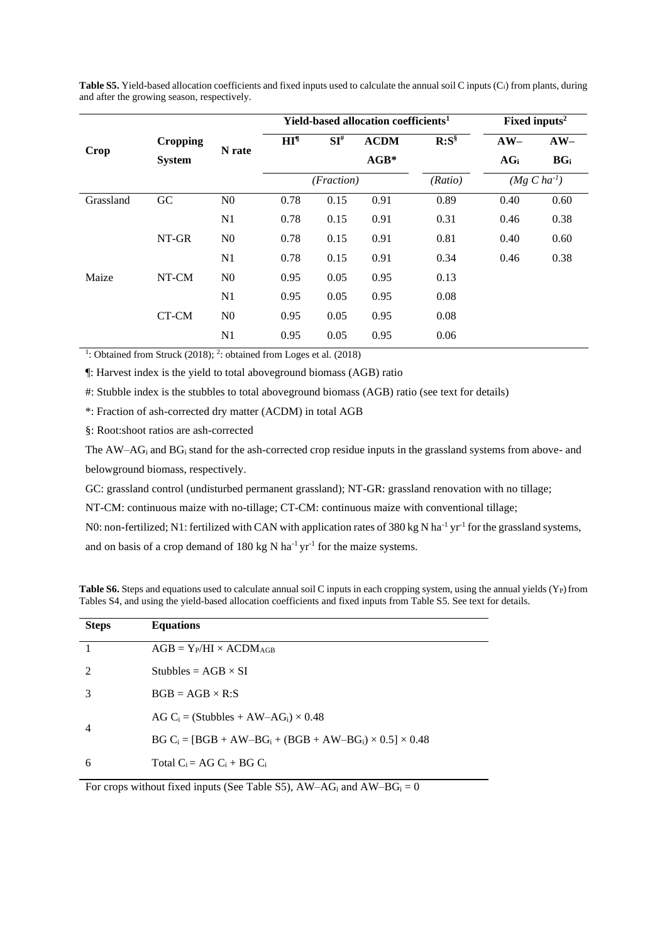**Table S5.** Yield-based allocation coefficients and fixed inputs used to calculate the annual soil C inputs (Ci) from plants, during and after the growing season, respectively.

|           |                                  | N rate         | Yield-based allocation coefficients <sup>1</sup> |            |             |             | Fixed inputs <sup>2</sup> |                  |
|-----------|----------------------------------|----------------|--------------------------------------------------|------------|-------------|-------------|---------------------------|------------------|
| Crop      | <b>Cropping</b><br><b>System</b> |                | HI <sup>1</sup>                                  | $SI^{\#}$  | <b>ACDM</b> | $R: S^{\S}$ | $AW-$                     | $AW-$            |
|           |                                  |                |                                                  |            | $AGB*$      |             | AG <sub>i</sub>           | BG <sub>i</sub>  |
|           |                                  |                |                                                  | (Fraction) |             | (Ratio)     |                           | $(Mg C ha^{-1})$ |
| Grassland | GC                               | N <sub>0</sub> | 0.78                                             | 0.15       | 0.91        | 0.89        | 0.40                      | 0.60             |
|           |                                  | N <sub>1</sub> | 0.78                                             | 0.15       | 0.91        | 0.31        | 0.46                      | 0.38             |
|           | NT-GR                            | N <sub>0</sub> | 0.78                                             | 0.15       | 0.91        | 0.81        | 0.40                      | 0.60             |
|           |                                  | N <sub>1</sub> | 0.78                                             | 0.15       | 0.91        | 0.34        | 0.46                      | 0.38             |
| Maize     | NT-CM                            | N <sub>0</sub> | 0.95                                             | 0.05       | 0.95        | 0.13        |                           |                  |
|           |                                  | N1             | 0.95                                             | 0.05       | 0.95        | 0.08        |                           |                  |
|           | CT-CM                            | N <sub>0</sub> | 0.95                                             | 0.05       | 0.95        | 0.08        |                           |                  |
|           |                                  | N <sub>1</sub> | 0.95                                             | 0.05       | 0.95        | 0.06        |                           |                  |

<sup>1</sup>: Obtained from Struck (2018); <sup>2</sup>: obtained from Loges et al. (2018)

¶: Harvest index is the yield to total aboveground biomass (AGB) ratio

#: Stubble index is the stubbles to total aboveground biomass (AGB) ratio (see text for details)

\*: Fraction of ash-corrected dry matter (ACDM) in total AGB

§: Root:shoot ratios are ash-corrected

The  $AW-AG<sub>i</sub>$  and  $BG<sub>i</sub>$  stand for the ash-corrected crop residue inputs in the grassland systems from above- and belowground biomass, respectively.

GC: grassland control (undisturbed permanent grassland); NT-GR: grassland renovation with no tillage;

NT-CM: continuous maize with no-tillage; CT-CM: continuous maize with conventional tillage;

N0: non-fertilized; N1: fertilized with CAN with application rates of 380 kg N ha<sup>-1</sup> yr<sup>-1</sup> for the grassland systems,

and on basis of a crop demand of 180 kg N ha<sup>-1</sup> yr<sup>-1</sup> for the maize systems.

**Table S6.** Steps and equations used to calculate annual soil C inputs in each cropping system, using the annual yields (Y<sub>P</sub>) from Tables S4, and using the yield-based allocation coefficients and fixed inputs from Table S5. See text for details.

| <b>Steps</b>                | <b>Equations</b>                                                    |
|-----------------------------|---------------------------------------------------------------------|
|                             | $AGB = Y_P/HI \times ACDM_{AGB}$                                    |
| $\mathcal{D}_{\mathcal{L}}$ | Stubbles = $AGB \times SI$                                          |
| 3                           | $BGB = AGB \times R:$ S                                             |
| 4                           | AG C <sub>i</sub> = (Stubbles + AW-AG <sub>i</sub> ) $\times$ 0.48  |
|                             | $BG C_i = [BGB + AW-BG_i + (BGB + AW-BG_i) \times 0.5] \times 0.48$ |
| 6                           | Total $C_i = AG C_i + BG C_i$                                       |
|                             |                                                                     |

For crops without fixed inputs (See Table S5),  $AW-AG_i$  and  $AW-BG_i = 0$